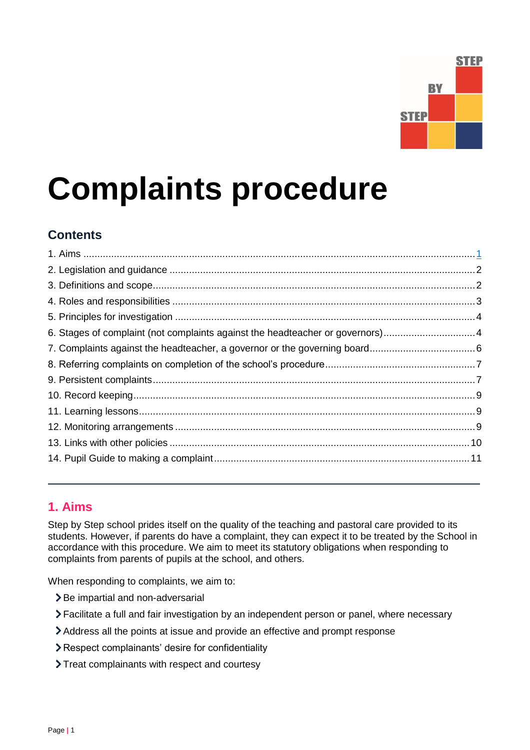

# **Complaints procedure**

# **Contents**

| 6. Stages of complaint (not complaints against the headteacher or governors)4 |  |
|-------------------------------------------------------------------------------|--|
|                                                                               |  |
|                                                                               |  |
|                                                                               |  |
|                                                                               |  |
|                                                                               |  |
|                                                                               |  |
|                                                                               |  |
|                                                                               |  |

# <span id="page-0-0"></span>**1. Aims**

Step by Step school prides itself on the quality of the teaching and pastoral care provided to its students. However, if parents do have a complaint, they can expect it to be treated by the School in accordance with this procedure. We aim to meet its statutory obligations when responding to complaints from parents of pupils at the school, and others.

When responding to complaints, we aim to:

- > Be impartial and non-adversarial
- Facilitate a full and fair investigation by an independent person or panel, where necessary
- Address all the points at issue and provide an effective and prompt response
- Respect complainants' desire for confidentiality
- Treat complainants with respect and courtesy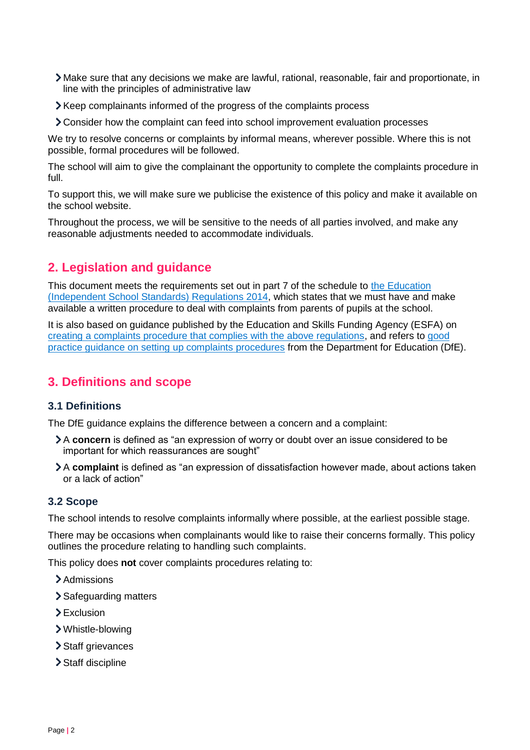- Make sure that any decisions we make are lawful, rational, reasonable, fair and proportionate, in line with the principles of administrative law
- Keep complainants informed of the progress of the complaints process
- Consider how the complaint can feed into school improvement evaluation processes

We try to resolve concerns or complaints by informal means, wherever possible. Where this is not possible, formal procedures will be followed.

The school will aim to give the complainant the opportunity to complete the complaints procedure in full.

To support this, we will make sure we publicise the existence of this policy and make it available on the school website.

Throughout the process, we will be sensitive to the needs of all parties involved, and make any reasonable adjustments needed to accommodate individuals.

# <span id="page-1-0"></span>**2. Legislation and guidance**

This document meets the requirements set out in part 7 of the schedule to the Education [\(Independent School Standards\) Regulations 2014,](http://www.legislation.gov.uk/uksi/2014/3283/schedule/made) which states that we must have and make available a written procedure to deal with complaints from parents of pupils at the school.

It is also based on guidance published by the Education and Skills Funding Agency (ESFA) on [creating a complaints procedure that complies with the above regulations,](https://www.gov.uk/government/publications/setting-up-an-academies-complaints-procedure) and refers to [good](https://www.gov.uk/government/publications/school-complaints-procedures)  [practice guidance on setting up complaints procedures](https://www.gov.uk/government/publications/school-complaints-procedures) from the Department for Education (DfE).

# <span id="page-1-1"></span>**3. Definitions and scope**

## **3.1 Definitions**

The DfE guidance explains the difference between a concern and a complaint:

- A **concern** is defined as "an expression of worry or doubt over an issue considered to be important for which reassurances are sought"
- A **complaint** is defined as "an expression of dissatisfaction however made, about actions taken or a lack of action"

## **3.2 Scope**

The school intends to resolve complaints informally where possible, at the earliest possible stage.

There may be occasions when complainants would like to raise their concerns formally. This policy outlines the procedure relating to handling such complaints.

This policy does **not** cover complaints procedures relating to:

- > Admissions
- > Safeguarding matters
- > Exclusion
- Whistle-blowing
- > Staff grievances
- Staff discipline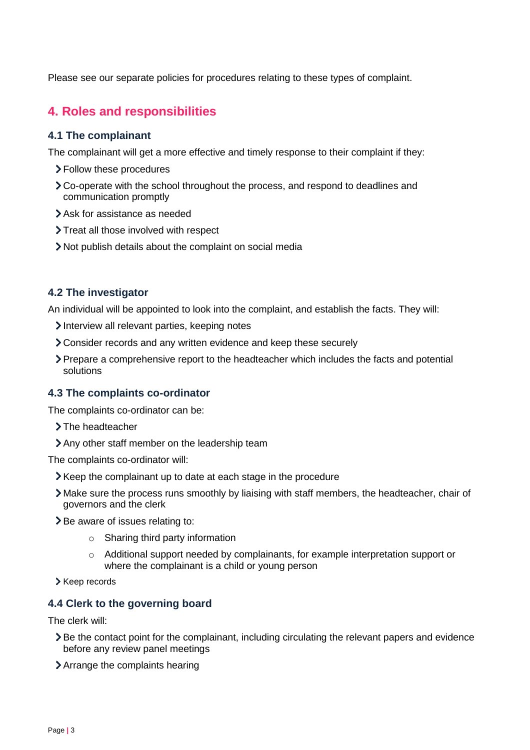Please see our separate policies for procedures relating to these types of complaint.

# <span id="page-2-0"></span>**4. Roles and responsibilities**

#### **4.1 The complainant**

The complainant will get a more effective and timely response to their complaint if they:

- Follow these procedures
- Co-operate with the school throughout the process, and respond to deadlines and communication promptly
- Ask for assistance as needed
- > Treat all those involved with respect
- Not publish details about the complaint on social media

## **4.2 The investigator**

An individual will be appointed to look into the complaint, and establish the facts. They will:

- Interview all relevant parties, keeping notes
- Consider records and any written evidence and keep these securely
- Prepare a comprehensive report to the headteacher which includes the facts and potential solutions

#### **4.3 The complaints co-ordinator**

The complaints co-ordinator can be:

- > The headteacher
- Any other staff member on the leadership team

The complaints co-ordinator will:

- Xeep the complainant up to date at each stage in the procedure
- Make sure the process runs smoothly by liaising with staff members, the headteacher, chair of governors and the clerk
- > Be aware of issues relating to:
	- $\circ$  Sharing third party information
	- $\circ$  Additional support needed by complainants, for example interpretation support or where the complainant is a child or young person
- > Keep records

# **4.4 Clerk to the governing board**

The clerk will:

- Be the contact point for the complainant, including circulating the relevant papers and evidence before any review panel meetings
- Arrange the complaints hearing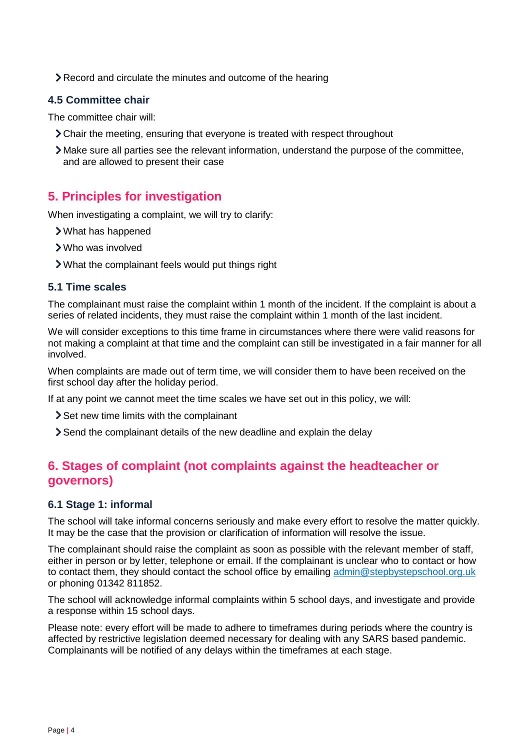Record and circulate the minutes and outcome of the hearing

# **4.5 Committee chair**

The committee chair will:

- Chair the meeting, ensuring that everyone is treated with respect throughout
- Make sure all parties see the relevant information, understand the purpose of the committee, and are allowed to present their case

# <span id="page-3-0"></span>**5. Principles for investigation**

When investigating a complaint, we will try to clarify:

- What has happened
- Who was involved
- What the complainant feels would put things right

## **5.1 Time scales**

The complainant must raise the complaint within 1 month of the incident. If the complaint is about a series of related incidents, they must raise the complaint within 1 month of the last incident.

We will consider exceptions to this time frame in circumstances where there were valid reasons for not making a complaint at that time and the complaint can still be investigated in a fair manner for all involved.

When complaints are made out of term time, we will consider them to have been received on the first school day after the holiday period.

If at any point we cannot meet the time scales we have set out in this policy, we will:

- Set new time limits with the complainant
- Send the complainant details of the new deadline and explain the delay

# <span id="page-3-1"></span>**6. Stages of complaint (not complaints against the headteacher or governors)**

## **6.1 Stage 1: informal**

The school will take informal concerns seriously and make every effort to resolve the matter quickly. It may be the case that the provision or clarification of information will resolve the issue.

The complainant should raise the complaint as soon as possible with the relevant member of staff, either in person or by letter, telephone or email. If the complainant is unclear who to contact or how to contact them, they should contact the school office by emailing [admin@stepbystepschool.org.uk](mailto:admin@stepbystepschool.org.uk) or phoning 01342 811852.

The school will acknowledge informal complaints within 5 school days, and investigate and provide a response within 15 school days.

Please note: every effort will be made to adhere to timeframes during periods where the country is affected by restrictive legislation deemed necessary for dealing with any SARS based pandemic. Complainants will be notified of any delays within the timeframes at each stage.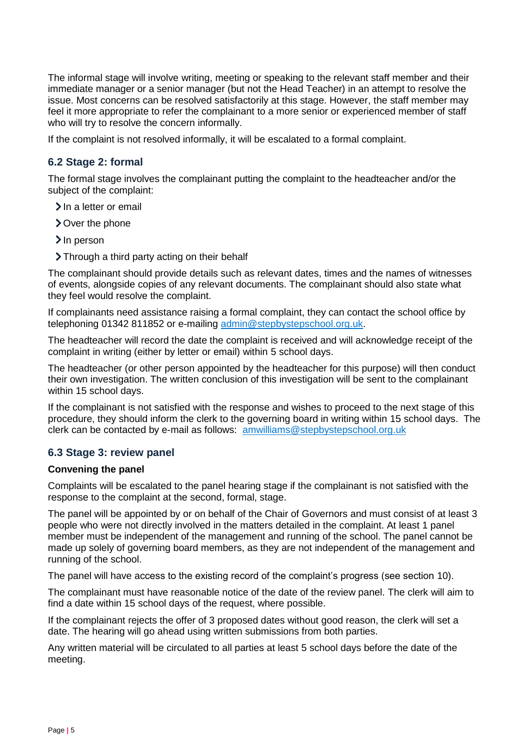The informal stage will involve writing, meeting or speaking to the relevant staff member and their immediate manager or a senior manager (but not the Head Teacher) in an attempt to resolve the issue. Most concerns can be resolved satisfactorily at this stage. However, the staff member may feel it more appropriate to refer the complainant to a more senior or experienced member of staff who will try to resolve the concern informally.

If the complaint is not resolved informally, it will be escalated to a formal complaint.

# **6.2 Stage 2: formal**

The formal stage involves the complainant putting the complaint to the headteacher and/or the subject of the complaint:

- $\sum$  In a letter or email
- Over the phone
- > In person
- > Through a third party acting on their behalf

The complainant should provide details such as relevant dates, times and the names of witnesses of events, alongside copies of any relevant documents. The complainant should also state what they feel would resolve the complaint.

If complainants need assistance raising a formal complaint, they can contact the school office by telephoning 01342 811852 or e-mailing [admin@stepbystepschool.org.uk.](mailto:admin@stepbystepschool.org.uk)

The headteacher will record the date the complaint is received and will acknowledge receipt of the complaint in writing (either by letter or email) within 5 school days.

The headteacher (or other person appointed by the headteacher for this purpose) will then conduct their own investigation. The written conclusion of this investigation will be sent to the complainant within 15 school days.

If the complainant is not satisfied with the response and wishes to proceed to the next stage of this procedure, they should inform the clerk to the governing board in writing within 15 school days. The clerk can be contacted by e-mail as follows: [amwilliams@stepbystepschool.org.uk](mailto:amwilliams@stepbystepschool.org.uk)

#### **6.3 Stage 3: review panel**

#### **Convening the panel**

Complaints will be escalated to the panel hearing stage if the complainant is not satisfied with the response to the complaint at the second, formal, stage.

The panel will be appointed by or on behalf of the Chair of Governors and must consist of at least 3 people who were not directly involved in the matters detailed in the complaint. At least 1 panel member must be independent of the management and running of the school. The panel cannot be made up solely of governing board members, as they are not independent of the management and running of the school.

The panel will have access to the existing record of the complaint's progress (see section 10).

The complainant must have reasonable notice of the date of the review panel. The clerk will aim to find a date within 15 school days of the request, where possible.

If the complainant rejects the offer of 3 proposed dates without good reason, the clerk will set a date. The hearing will go ahead using written submissions from both parties.

Any written material will be circulated to all parties at least 5 school days before the date of the meeting.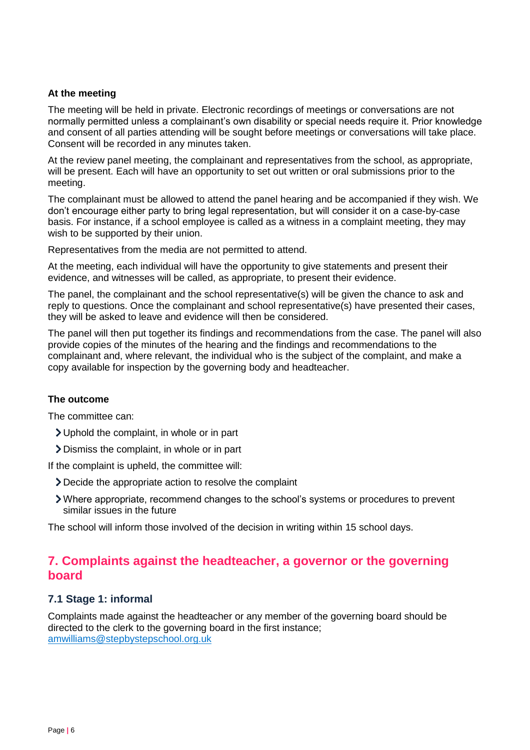#### **At the meeting**

The meeting will be held in private. Electronic recordings of meetings or conversations are not normally permitted unless a complainant's own disability or special needs require it. Prior knowledge and consent of all parties attending will be sought before meetings or conversations will take place. Consent will be recorded in any minutes taken.

At the review panel meeting, the complainant and representatives from the school, as appropriate, will be present. Each will have an opportunity to set out written or oral submissions prior to the meeting.

The complainant must be allowed to attend the panel hearing and be accompanied if they wish. We don't encourage either party to bring legal representation, but will consider it on a case-by-case basis. For instance, if a school employee is called as a witness in a complaint meeting, they may wish to be supported by their union.

Representatives from the media are not permitted to attend.

At the meeting, each individual will have the opportunity to give statements and present their evidence, and witnesses will be called, as appropriate, to present their evidence.

The panel, the complainant and the school representative(s) will be given the chance to ask and reply to questions. Once the complainant and school representative(s) have presented their cases, they will be asked to leave and evidence will then be considered.

The panel will then put together its findings and recommendations from the case. The panel will also provide copies of the minutes of the hearing and the findings and recommendations to the complainant and, where relevant, the individual who is the subject of the complaint, and make a copy available for inspection by the governing body and headteacher.

#### **The outcome**

The committee can:

- Uphold the complaint, in whole or in part
- Dismiss the complaint, in whole or in part

If the complaint is upheld, the committee will:

- Decide the appropriate action to resolve the complaint
- Where appropriate, recommend changes to the school's systems or procedures to prevent similar issues in the future

The school will inform those involved of the decision in writing within 15 school days.

# <span id="page-5-0"></span>**7. Complaints against the headteacher, a governor or the governing board**

#### **7.1 Stage 1: informal**

Complaints made against the headteacher or any member of the governing board should be directed to the clerk to the governing board in the first instance; [amwilliams@stepbystepschool.org.uk](mailto:amwilliams@stepbystepschool.org.uk)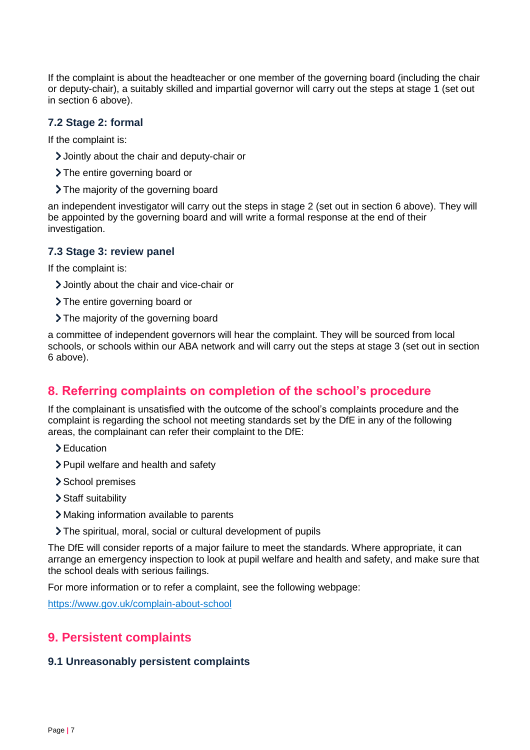If the complaint is about the headteacher or one member of the governing board (including the chair or deputy-chair), a suitably skilled and impartial governor will carry out the steps at stage 1 (set out in section 6 above).

## **7.2 Stage 2: formal**

If the complaint is:

- Jointly about the chair and deputy-chair or
- > The entire governing board or
- > The majority of the governing board

an independent investigator will carry out the steps in stage 2 (set out in section 6 above). They will be appointed by the governing board and will write a formal response at the end of their investigation.

#### **7.3 Stage 3: review panel**

If the complaint is:

- Jointly about the chair and vice-chair or
- > The entire governing board or
- > The majority of the governing board

a committee of independent governors will hear the complaint. They will be sourced from local schools, or schools within our ABA network and will carry out the steps at stage 3 (set out in section 6 above).

# <span id="page-6-0"></span>**8. Referring complaints on completion of the school's procedure**

If the complainant is unsatisfied with the outcome of the school's complaints procedure and the complaint is regarding the school not meeting standards set by the DfE in any of the following areas, the complainant can refer their complaint to the DfE:

- > Education
- > Pupil welfare and health and safety
- > School premises
- Staff suitability
- Making information available to parents
- The spiritual, moral, social or cultural development of pupils

The DfE will consider reports of a major failure to meet the standards. Where appropriate, it can arrange an emergency inspection to look at pupil welfare and health and safety, and make sure that the school deals with serious failings.

For more information or to refer a complaint, see the following webpage:

<https://www.gov.uk/complain-about-school>

# <span id="page-6-1"></span>**9. Persistent complaints**

#### **9.1 Unreasonably persistent complaints**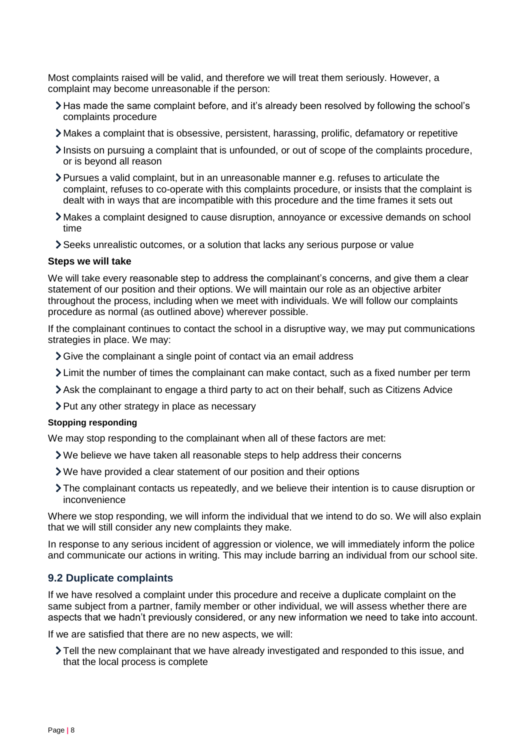Most complaints raised will be valid, and therefore we will treat them seriously. However, a complaint may become unreasonable if the person:

- Has made the same complaint before, and it's already been resolved by following the school's complaints procedure
- Makes a complaint that is obsessive, persistent, harassing, prolific, defamatory or repetitive
- Insists on pursuing a complaint that is unfounded, or out of scope of the complaints procedure, or is beyond all reason
- Pursues a valid complaint, but in an unreasonable manner e.g. refuses to articulate the complaint, refuses to co-operate with this complaints procedure, or insists that the complaint is dealt with in ways that are incompatible with this procedure and the time frames it sets out
- Makes a complaint designed to cause disruption, annoyance or excessive demands on school time
- Seeks unrealistic outcomes, or a solution that lacks any serious purpose or value

#### **Steps we will take**

We will take every reasonable step to address the complainant's concerns, and give them a clear statement of our position and their options. We will maintain our role as an objective arbiter throughout the process, including when we meet with individuals. We will follow our complaints procedure as normal (as outlined above) wherever possible.

If the complainant continues to contact the school in a disruptive way, we may put communications strategies in place. We may:

- Sive the complainant a single point of contact via an email address
- Limit the number of times the complainant can make contact, such as a fixed number per term
- Ask the complainant to engage a third party to act on their behalf, such as [Citizens Advice](https://www.citizensadvice.org.uk/)
- $\triangleright$  Put any other strategy in place as necessary

#### **Stopping responding**

We may stop responding to the complainant when all of these factors are met:

- We believe we have taken all reasonable steps to help address their concerns
- We have provided a clear statement of our position and their options
- The complainant contacts us repeatedly, and we believe their intention is to cause disruption or inconvenience

Where we stop responding, we will inform the individual that we intend to do so. We will also explain that we will still consider any new complaints they make.

In response to any serious incident of aggression or violence, we will immediately inform the police and communicate our actions in writing. This may include barring an individual from our school site.

#### **9.2 Duplicate complaints**

If we have resolved a complaint under this procedure and receive a duplicate complaint on the same subject from a partner, family member or other individual, we will assess whether there are aspects that we hadn't previously considered, or any new information we need to take into account.

If we are satisfied that there are no new aspects, we will:

Tell the new complainant that we have already investigated and responded to this issue, and that the local process is complete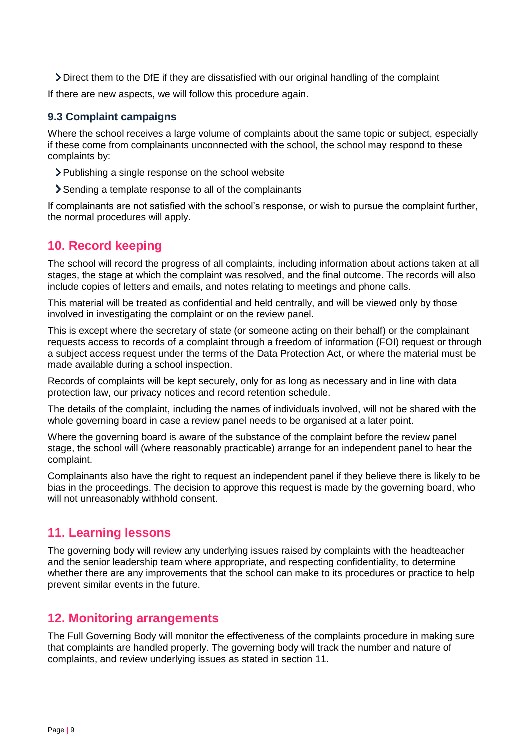Direct them to the DfE if they are dissatisfied with our original handling of the complaint

If there are new aspects, we will follow this procedure again.

# **9.3 Complaint campaigns**

Where the school receives a large volume of complaints about the same topic or subject, especially if these come from complainants unconnected with the school, the school may respond to these complaints by:

- Publishing a single response on the school website
- Sending a template response to all of the complainants

If complainants are not satisfied with the school's response, or wish to pursue the complaint further, the normal procedures will apply.

# <span id="page-8-0"></span>**10. Record keeping**

The school will record the progress of all complaints, including information about actions taken at all stages, the stage at which the complaint was resolved, and the final outcome. The records will also include copies of letters and emails, and notes relating to meetings and phone calls.

This material will be treated as confidential and held centrally, and will be viewed only by those involved in investigating the complaint or on the review panel.

This is except where the secretary of state (or someone acting on their behalf) or the complainant requests access to records of a complaint through a freedom of information (FOI) request or through a subject access request under the terms of the Data Protection Act, or where the material must be made available during a school inspection.

Records of complaints will be kept securely, only for as long as necessary and in line with data protection law, our privacy notices and record retention schedule.

The details of the complaint, including the names of individuals involved, will not be shared with the whole governing board in case a review panel needs to be organised at a later point.

Where the governing board is aware of the substance of the complaint before the review panel stage, the school will (where reasonably practicable) arrange for an independent panel to hear the complaint.

Complainants also have the right to request an independent panel if they believe there is likely to be bias in the proceedings. The decision to approve this request is made by the governing board, who will not unreasonably withhold consent.

# <span id="page-8-1"></span>**11. Learning lessons**

The governing body will review any underlying issues raised by complaints with the headteacher and the senior leadership team where appropriate, and respecting confidentiality, to determine whether there are any improvements that the school can make to its procedures or practice to help prevent similar events in the future.

# <span id="page-8-2"></span>**12. Monitoring arrangements**

The Full Governing Body will monitor the effectiveness of the complaints procedure in making sure that complaints are handled properly. The governing body will track the number and nature of complaints, and review underlying issues as stated in section 11.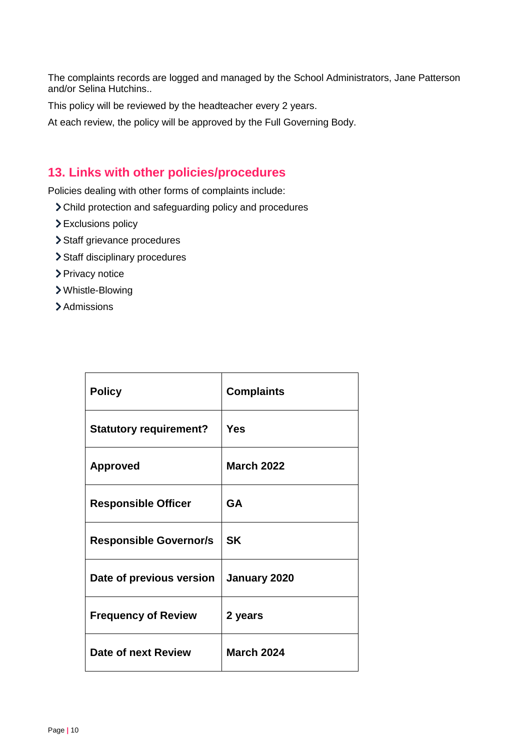The complaints records are logged and managed by the School Administrators, Jane Patterson and/or Selina Hutchins..

This policy will be reviewed by the headteacher every 2 years.

At each review, the policy will be approved by the Full Governing Body.

# <span id="page-9-0"></span>**13. Links with other policies/procedures**

Policies dealing with other forms of complaints include:

- Child protection and safeguarding policy and procedures
- Exclusions policy
- > Staff grievance procedures
- > Staff disciplinary procedures
- > Privacy notice
- Whistle-Blowing
- > Admissions

| <b>Policy</b>                 | <b>Complaints</b> |
|-------------------------------|-------------------|
| <b>Statutory requirement?</b> | Yes               |
| <b>Approved</b>               | <b>March 2022</b> |
| <b>Responsible Officer</b>    | <b>GA</b>         |
| <b>Responsible Governor/s</b> | <b>SK</b>         |
| Date of previous version      | January 2020      |
| <b>Frequency of Review</b>    | 2 years           |
| Date of next Review           | <b>March 2024</b> |